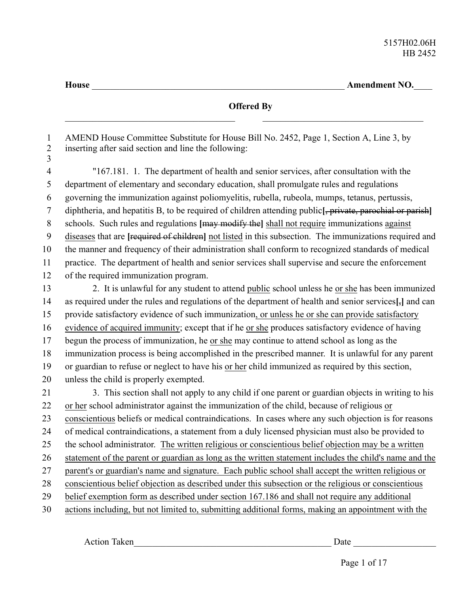**House** \_\_\_\_\_\_\_\_\_\_\_\_\_\_\_\_\_\_\_\_\_\_\_\_\_\_\_\_\_\_\_\_\_\_\_\_\_\_\_\_\_\_\_\_\_\_\_\_\_\_\_\_\_\_\_ **Amendment NO.**\_\_\_\_

**Offered By** AMEND House Committee Substitute for House Bill No. 2452, Page 1, Section A, Line 3, by inserting after said section and line the following: "167.181. 1. The department of health and senior services, after consultation with the department of elementary and secondary education, shall promulgate rules and regulations governing the immunization against poliomyelitis, rubella, rubeola, mumps, tetanus, pertussis, diphtheria, and hepatitis B, to be required of children attending public**[**, private, parochial or parish**]** schools. Such rules and regulations **[**may modify the**]** shall not require immunizations against diseases that are **[**required of children**]** not listed in this subsection. The immunizations required and the manner and frequency of their administration shall conform to recognized standards of medical practice. The department of health and senior services shall supervise and secure the enforcement of the required immunization program. 2. It is unlawful for any student to attend public school unless he or she has been immunized as required under the rules and regulations of the department of health and senior services**[**,**]** and can provide satisfactory evidence of such immunization, or unless he or she can provide satisfactory evidence of acquired immunity; except that if he or she produces satisfactory evidence of having begun the process of immunization, he or she may continue to attend school as long as the immunization process is being accomplished in the prescribed manner. It is unlawful for any parent or guardian to refuse or neglect to have his or her child immunized as required by this section, unless the child is properly exempted. 3. This section shall not apply to any child if one parent or guardian objects in writing to his or her school administrator against the immunization of the child, because of religious or conscientious beliefs or medical contraindications. In cases where any such objection is for reasons of medical contraindications, a statement from a duly licensed physician must also be provided to the school administrator. The written religious or conscientious belief objection may be a written statement of the parent or guardian as long as the written statement includes the child's name and the parent's or guardian's name and signature. Each public school shall accept the written religious or conscientious belief objection as described under this subsection or the religious or conscientious belief exemption form as described under section 167.186 and shall not require any additional actions including, but not limited to, submitting additional forms, making an appointment with the 1 2 3 4 5 6 7 8 9 10 11 12 13 14 15 16 17 18 19 20 21 22 23 24 25 26 27 28 29 30

Action Taken\_\_\_\_\_\_\_\_\_\_\_\_\_\_\_\_\_\_\_\_\_\_\_\_\_\_\_\_\_\_\_\_\_\_\_\_\_\_\_\_\_\_\_ Date \_\_\_\_\_\_\_\_\_\_\_\_\_\_\_\_\_\_

Page 1 of 17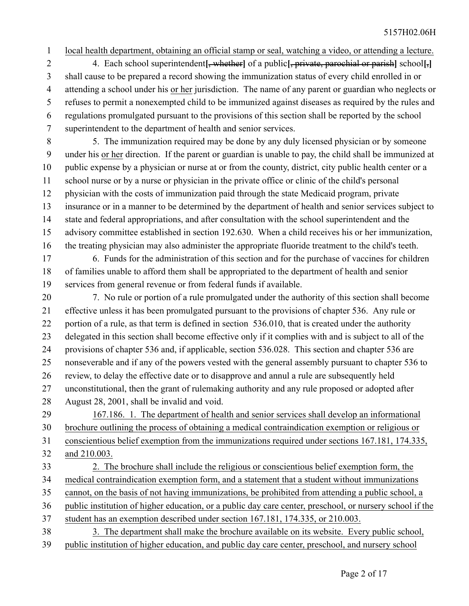1

local health department, obtaining an official stamp or seal, watching a video, or attending a lecture.

4. Each school superintendent**[**, whether**]** of a public**[**, private, parochial or parish**]** school**[**,**]** shall cause to be prepared a record showing the immunization status of every child enrolled in or attending a school under his or her jurisdiction. The name of any parent or guardian who neglects or refuses to permit a nonexempted child to be immunized against diseases as required by the rules and regulations promulgated pursuant to the provisions of this section shall be reported by the school superintendent to the department of health and senior services. 2 3 4 5 6 7

5. The immunization required may be done by any duly licensed physician or by someone under his or her direction. If the parent or guardian is unable to pay, the child shall be immunized at public expense by a physician or nurse at or from the county, district, city public health center or a school nurse or by a nurse or physician in the private office or clinic of the child's personal physician with the costs of immunization paid through the state Medicaid program, private insurance or in a manner to be determined by the department of health and senior services subject to state and federal appropriations, and after consultation with the school superintendent and the advisory committee established in section 192.630. When a child receives his or her immunization, the treating physician may also administer the appropriate fluoride treatment to the child's teeth. 8 9 10 11 12 13 14 15 16

6. Funds for the administration of this section and for the purchase of vaccines for children of families unable to afford them shall be appropriated to the department of health and senior services from general revenue or from federal funds if available. 17 18 19

7. No rule or portion of a rule promulgated under the authority of this section shall become effective unless it has been promulgated pursuant to the provisions of chapter 536. Any rule or portion of a rule, as that term is defined in section 536.010, that is created under the authority delegated in this section shall become effective only if it complies with and is subject to all of the provisions of chapter 536 and, if applicable, section 536.028. This section and chapter 536 are nonseverable and if any of the powers vested with the general assembly pursuant to chapter 536 to review, to delay the effective date or to disapprove and annul a rule are subsequently held unconstitutional, then the grant of rulemaking authority and any rule proposed or adopted after August 28, 2001, shall be invalid and void. 20 21 22 23 24 25 26 27 28

167.186. 1. The department of health and senior services shall develop an informational brochure outlining the process of obtaining a medical contraindication exemption or religious or 29 30

conscientious belief exemption from the immunizations required under sections 167.181, 174.335, and 210.003. 31 32

- 2. The brochure shall include the religious or conscientious belief exemption form, the medical contraindication exemption form, and a statement that a student without immunizations cannot, on the basis of not having immunizations, be prohibited from attending a public school, a public institution of higher education, or a public day care center, preschool, or nursery school if the student has an exemption described under section 167.181, 174.335, or 210.003. 3. The department shall make the brochure available on its website. Every public school, 33 34 35 36 37 38
- public institution of higher education, and public day care center, preschool, and nursery school 39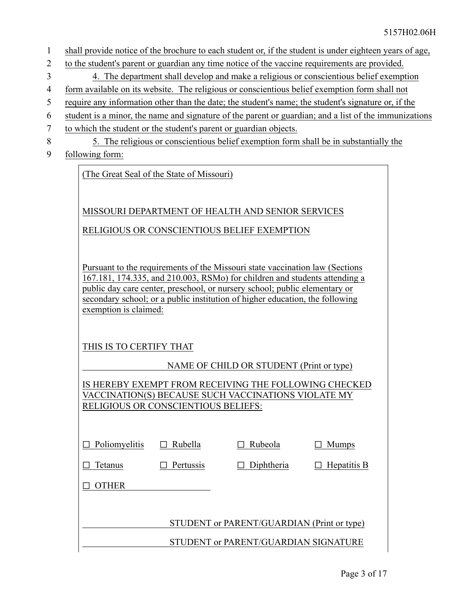- shall provide notice of the brochure to each student or, if the student is under eighteen years of age, 1
- to the student's parent or guardian any time notice of the vaccine requirements are provided. 2
- 4. The department shall develop and make a religious or conscientious belief exemption 3
- form available on its website. The religious or conscientious belief exemption form shall not 4
- require any information other than the date; the student's name; the student's signature or, if the 5
- student is a minor, the name and signature of the parent or guardian; and a list of the immunizations 6
- to which the student or the student's parent or guardian objects. 7
- 5. The religious or conscientious belief exemption form shall be in substantially the 8
- following form: 9

(The Great Seal of the State of Missouri)

MISSOURI DEPARTMENT OF HEALTH AND SENIOR SERVICES

RELIGIOUS OR CONSCIENTIOUS BELIEF EXEMPTION

Pursuant to the requirements of the Missouri state vaccination law (Sections 167.181, 174.335, and 210.003, RSMo) for children and students attending a public day care center, preschool, or nursery school; public elementary or secondary school; or a public institution of higher education, the following exemption is claimed:

## THIS IS TO CERTIFY THAT

NAME OF CHILD OR STUDENT (Print or type)

IS HEREBY EXEMPT FROM RECEIVING THE FOLLOWING CHECKED VACCINATION(S) BECAUSE SUCH VACCINATIONS VIOLATE MY RELIGIOUS OR CONSCIENTIOUS BELIEFS:

| Poliomyelitis | Rubella   | Rubeola                                    | <b>Mumps</b> |
|---------------|-----------|--------------------------------------------|--------------|
| Tetanus       | Pertussis | Diphtheria                                 | Hepatitis B  |
| <b>THER</b>   |           |                                            |              |
|               |           |                                            |              |
|               |           | STUDENT or PARENT/GUARDIAN (Print or type) |              |
|               |           | STUDENT or PARENT/GUARDIAN SIGNATURE       |              |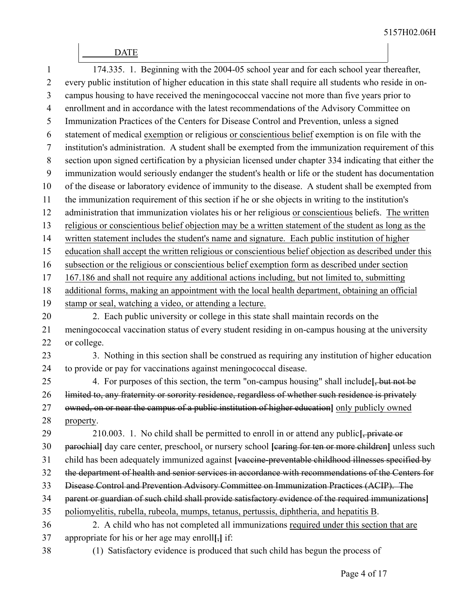## \_\_\_\_\_\_ DATE

| 1              | 174.335. 1. Beginning with the 2004-05 school year and for each school year thereafter,                 |
|----------------|---------------------------------------------------------------------------------------------------------|
| $\overline{2}$ | every public institution of higher education in this state shall require all students who reside in on- |
| 3              | campus housing to have received the meningococcal vaccine not more than five years prior to             |
| $\overline{4}$ | enrollment and in accordance with the latest recommendations of the Advisory Committee on               |
| 5              | Immunization Practices of the Centers for Disease Control and Prevention, unless a signed               |
| 6              | statement of medical exemption or religious or conscientious belief exemption is on file with the       |
| 7              | institution's administration. A student shall be exempted from the immunization requirement of this     |
| 8              | section upon signed certification by a physician licensed under chapter 334 indicating that either the  |
| 9              | immunization would seriously endanger the student's health or life or the student has documentation     |
| 10             | of the disease or laboratory evidence of immunity to the disease. A student shall be exempted from      |
| 11             | the immunization requirement of this section if he or she objects in writing to the institution's       |
| 12             | administration that immunization violates his or her religious or conscientious beliefs. The written    |
| 13             | religious or conscientious belief objection may be a written statement of the student as long as the    |
| 14             | written statement includes the student's name and signature. Each public institution of higher          |
| 15             | education shall accept the written religious or conscientious belief objection as described under this  |
| 16             | subsection or the religious or conscientious belief exemption form as described under section           |
| 17             | 167.186 and shall not require any additional actions including, but not limited to, submitting          |
| 18             | additional forms, making an appointment with the local health department, obtaining an official         |
| 19             | stamp or seal, watching a video, or attending a lecture.                                                |
| 20             | 2. Each public university or college in this state shall maintain records on the                        |
| 21             | meningococcal vaccination status of every student residing in on-campus housing at the university       |
| 22             | or college.                                                                                             |
| 23             | 3. Nothing in this section shall be construed as requiring any institution of higher education          |
| 24             | to provide or pay for vaccinations against meningococcal disease.                                       |
| 25             | 4. For purposes of this section, the term "on-campus housing" shall include [, but not be               |
| 26             | limited to, any fraternity or sorority residence, regardless of whether such residence is privately     |
| 27             | owned, on or near the campus of a public institution of higher education] only publicly owned           |
| 28             | property.                                                                                               |
| 29             | 210.003. 1. No child shall be permitted to enroll in or attend any public, private or                   |
| 30             | parochial] day care center, preschool, or nursery school [caring for ten or more children] unless such  |
| 31             | child has been adequately immunized against [vaccine-preventable childhood illnesses specified by       |
| 32             | the department of health and senior services in accordance with recommendations of the Centers for      |
| 33             | Disease Control and Prevention Advisory Committee on Immunization Practices (ACIP). The                 |
| 34             | parent or guardian of such child shall provide satisfactory evidence of the required immunizations]     |
| 35             | poliomyelitis, rubella, rubeola, mumps, tetanus, pertussis, diphtheria, and hepatitis B.                |
| 36             | 2. A child who has not completed all immunizations required under this section that are                 |
| 37             | appropriate for his or her age may enroll[ $_{7}$ ] if:                                                 |
| 38             | (1) Satisfactory evidence is produced that such child has begun the process of                          |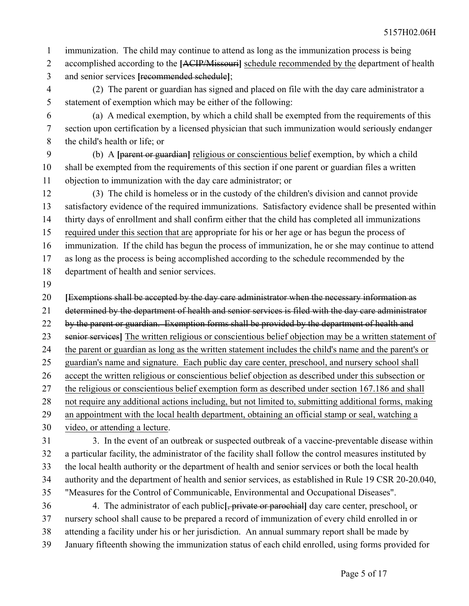immunization. The child may continue to attend as long as the immunization process is being 1

- accomplished according to the **[**ACIP/Missouri**]** schedule recommended by the department of health and senior services **[**recommended schedule**]**; 2 3
- (2) The parent or guardian has signed and placed on file with the day care administrator a statement of exemption which may be either of the following: 4 5
- (a) A medical exemption, by which a child shall be exempted from the requirements of this section upon certification by a licensed physician that such immunization would seriously endanger the child's health or life; or 6 7 8

(b) A **[**parent or guardian**]** religious or conscientious belief exemption, by which a child shall be exempted from the requirements of this section if one parent or guardian files a written objection to immunization with the day care administrator; or 9 10 11

(3) The child is homeless or in the custody of the children's division and cannot provide satisfactory evidence of the required immunizations. Satisfactory evidence shall be presented within thirty days of enrollment and shall confirm either that the child has completed all immunizations required under this section that are appropriate for his or her age or has begun the process of immunization. If the child has begun the process of immunization, he or she may continue to attend as long as the process is being accomplished according to the schedule recommended by the department of health and senior services. 12 13 14 15 16 17 18

19

**[**Exemptions shall be accepted by the day care administrator when the necessary information as 20

determined by the department of health and senior services is filed with the day care administrator 21

by the parent or guardian. Exemption forms shall be provided by the department of health and 22

senior services**]** The written religious or conscientious belief objection may be a written statement of 23

the parent or guardian as long as the written statement includes the child's name and the parent's or 24

guardian's name and signature. Each public day care center, preschool, and nursery school shall 25

accept the written religious or conscientious belief objection as described under this subsection or 26

the religious or conscientious belief exemption form as described under section 167.186 and shall 27 28

not require any additional actions including, but not limited to, submitting additional forms, making

an appointment with the local health department, obtaining an official stamp or seal, watching a video, or attending a lecture. 29 30

31

3. In the event of an outbreak or suspected outbreak of a vaccine-preventable disease within a particular facility, the administrator of the facility shall follow the control measures instituted by 32

the local health authority or the department of health and senior services or both the local health 33

authority and the department of health and senior services, as established in Rule 19 CSR 20-20.040, 34

"Measures for the Control of Communicable, Environmental and Occupational Diseases". 35

4. The administrator of each public**[**, private or parochial**]** day care center, preschool, or nursery school shall cause to be prepared a record of immunization of every child enrolled in or 36 37

- attending a facility under his or her jurisdiction. An annual summary report shall be made by 38
-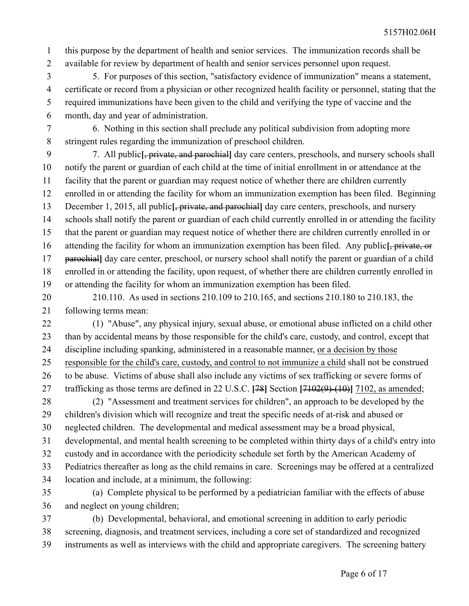this purpose by the department of health and senior services. The immunization records shall be available for review by department of health and senior services personnel upon request. 1 2

5. For purposes of this section, "satisfactory evidence of immunization" means a statement, certificate or record from a physician or other recognized health facility or personnel, stating that the required immunizations have been given to the child and verifying the type of vaccine and the month, day and year of administration. 3 4 5 6

6. Nothing in this section shall preclude any political subdivision from adopting more stringent rules regarding the immunization of preschool children. 7 8

7. All public**[**, private, and parochial**]** day care centers, preschools, and nursery schools shall notify the parent or guardian of each child at the time of initial enrollment in or attendance at the facility that the parent or guardian may request notice of whether there are children currently enrolled in or attending the facility for whom an immunization exemption has been filed. Beginning December 1, 2015, all public<sup>[</sup>, private, and parochial] day care centers, preschools, and nursery schools shall notify the parent or guardian of each child currently enrolled in or attending the facility that the parent or guardian may request notice of whether there are children currently enrolled in or attending the facility for whom an immunization exemption has been filed. Any public**[**, private, or parochial**]** day care center, preschool, or nursery school shall notify the parent or guardian of a child enrolled in or attending the facility, upon request, of whether there are children currently enrolled in or attending the facility for whom an immunization exemption has been filed. 9 10 11 12 13 14 15 16 17 18 19

210.110. As used in sections 210.109 to 210.165, and sections 210.180 to 210.183, the following terms mean: 20 21

(1) "Abuse", any physical injury, sexual abuse, or emotional abuse inflicted on a child other than by accidental means by those responsible for the child's care, custody, and control, except that discipline including spanking, administered in a reasonable manner, or a decision by those responsible for the child's care, custody, and control to not immunize a child shall not be construed to be abuse. Victims of abuse shall also include any victims of sex trafficking or severe forms of trafficking as those terms are defined in 22 U.S.C. **[**78**]** Section **[**7102(9)-(10)**]** 7102, as amended; 22 23 24 25 26 27

(2) "Assessment and treatment services for children", an approach to be developed by the children's division which will recognize and treat the specific needs of at-risk and abused or neglected children. The developmental and medical assessment may be a broad physical, 28 29 30

developmental, and mental health screening to be completed within thirty days of a child's entry into 31

custody and in accordance with the periodicity schedule set forth by the American Academy of 32

Pediatrics thereafter as long as the child remains in care. Screenings may be offered at a centralized location and include, at a minimum, the following: 33 34

(a) Complete physical to be performed by a pediatrician familiar with the effects of abuse and neglect on young children; 35 36

(b) Developmental, behavioral, and emotional screening in addition to early periodic screening, diagnosis, and treatment services, including a core set of standardized and recognized instruments as well as interviews with the child and appropriate caregivers. The screening battery 37 38 39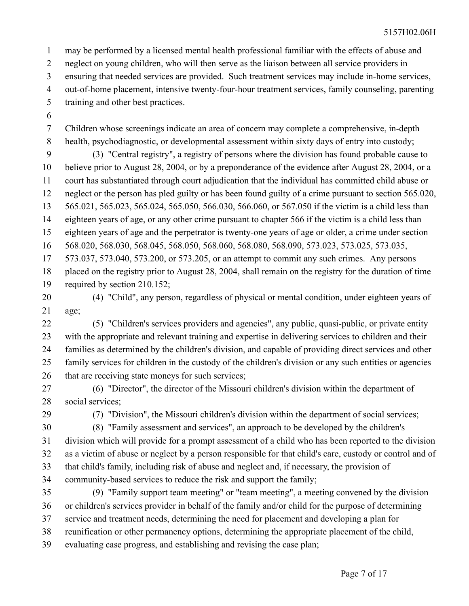may be performed by a licensed mental health professional familiar with the effects of abuse and 1

neglect on young children, who will then serve as the liaison between all service providers in 2

ensuring that needed services are provided. Such treatment services may include in-home services, 3

out-of-home placement, intensive twenty-four-hour treatment services, family counseling, parenting 4

- training and other best practices. 5
- 6

Children whose screenings indicate an area of concern may complete a comprehensive, in-depth health, psychodiagnostic, or developmental assessment within sixty days of entry into custody; 7 8

(3) "Central registry", a registry of persons where the division has found probable cause to believe prior to August 28, 2004, or by a preponderance of the evidence after August 28, 2004, or a court has substantiated through court adjudication that the individual has committed child abuse or neglect or the person has pled guilty or has been found guilty of a crime pursuant to section 565.020, 565.021, 565.023, 565.024, 565.050, 566.030, 566.060, or 567.050 if the victim is a child less than eighteen years of age, or any other crime pursuant to chapter 566 if the victim is a child less than 9 10 11 12 13 14

eighteen years of age and the perpetrator is twenty-one years of age or older, a crime under section 15

568.020, 568.030, 568.045, 568.050, 568.060, 568.080, 568.090, 573.023, 573.025, 573.035, 16

573.037, 573.040, 573.200, or 573.205, or an attempt to commit any such crimes. Any persons 17

placed on the registry prior to August 28, 2004, shall remain on the registry for the duration of time required by section 210.152; 18 19

(4) "Child", any person, regardless of physical or mental condition, under eighteen years of age; 20 21

(5) "Children's services providers and agencies", any public, quasi-public, or private entity with the appropriate and relevant training and expertise in delivering services to children and their families as determined by the children's division, and capable of providing direct services and other family services for children in the custody of the children's division or any such entities or agencies that are receiving state moneys for such services; 22 23 24 25 26

(6) "Director", the director of the Missouri children's division within the department of social services; 27 28

29

(7) "Division", the Missouri children's division within the department of social services;

30

(8) "Family assessment and services", an approach to be developed by the children's

division which will provide for a prompt assessment of a child who has been reported to the division as a victim of abuse or neglect by a person responsible for that child's care, custody or control and of that child's family, including risk of abuse and neglect and, if necessary, the provision of 31 32 33

community-based services to reduce the risk and support the family; 34

(9) "Family support team meeting" or "team meeting", a meeting convened by the division or children's services provider in behalf of the family and/or child for the purpose of determining service and treatment needs, determining the need for placement and developing a plan for reunification or other permanency options, determining the appropriate placement of the child, evaluating case progress, and establishing and revising the case plan; 35 36 37 38 39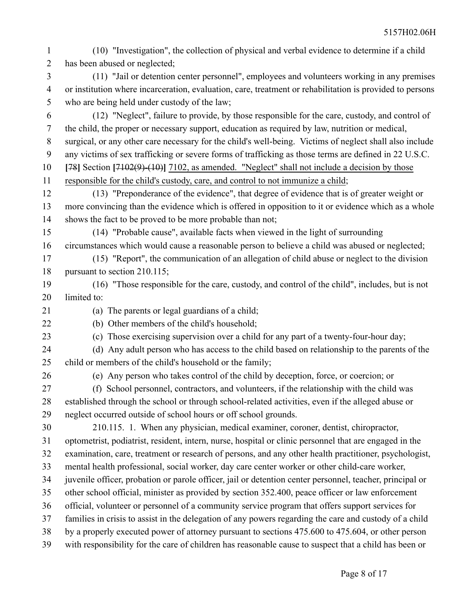| $\mathbf{1}$   | (10) "Investigation", the collection of physical and verbal evidence to determine if a child             |
|----------------|----------------------------------------------------------------------------------------------------------|
| $\overline{2}$ | has been abused or neglected;                                                                            |
| 3              | (11) "Jail or detention center personnel", employees and volunteers working in any premises              |
| $\overline{4}$ | or institution where incarceration, evaluation, care, treatment or rehabilitation is provided to persons |
| 5              | who are being held under custody of the law;                                                             |
| 6              | (12) "Neglect", failure to provide, by those responsible for the care, custody, and control of           |
| $\overline{7}$ | the child, the proper or necessary support, education as required by law, nutrition or medical,          |
| 8              | surgical, or any other care necessary for the child's well-being. Victims of neglect shall also include  |
| 9              | any victims of sex trafficking or severe forms of trafficking as those terms are defined in 22 U.S.C.    |
| 10             | [78] Section $[7102(9)–(10)]$ 7102, as amended. "Neglect" shall not include a decision by those          |
| 11             | responsible for the child's custody, care, and control to not immunize a child;                          |
| 12             | (13) "Preponderance of the evidence", that degree of evidence that is of greater weight or               |
| 13             | more convincing than the evidence which is offered in opposition to it or evidence which as a whole      |
| 14             | shows the fact to be proved to be more probable than not;                                                |
| 15             | (14) "Probable cause", available facts when viewed in the light of surrounding                           |
| 16             | circumstances which would cause a reasonable person to believe a child was abused or neglected;          |
| 17             | (15) "Report", the communication of an allegation of child abuse or neglect to the division              |
| 18             | pursuant to section 210.115;                                                                             |
| 19             | (16) "Those responsible for the care, custody, and control of the child", includes, but is not           |
| 20             | limited to:                                                                                              |
| 21             | (a) The parents or legal guardians of a child;                                                           |
| 22             | (b) Other members of the child's household;                                                              |
| 23             | (c) Those exercising supervision over a child for any part of a twenty-four-hour day;                    |
| 24             | (d) Any adult person who has access to the child based on relationship to the parents of the             |
| 25             | child or members of the child's household or the family;                                                 |
| 26             | (e) Any person who takes control of the child by deception, force, or coercion; or                       |
| 27             | (f) School personnel, contractors, and volunteers, if the relationship with the child was                |
| 28             | established through the school or through school-related activities, even if the alleged abuse or        |
| 29             | neglect occurred outside of school hours or off school grounds.                                          |
| 30             | 210.115. 1. When any physician, medical examiner, coroner, dentist, chiropractor,                        |
| 31             | optometrist, podiatrist, resident, intern, nurse, hospital or clinic personnel that are engaged in the   |
| 32             | examination, care, treatment or research of persons, and any other health practitioner, psychologist,    |
| 33             | mental health professional, social worker, day care center worker or other child-care worker,            |
| 34             | juvenile officer, probation or parole officer, jail or detention center personnel, teacher, principal or |
| 35             | other school official, minister as provided by section 352.400, peace officer or law enforcement         |
| 36             | official, volunteer or personnel of a community service program that offers support services for         |
| 37             | families in crisis to assist in the delegation of any powers regarding the care and custody of a child   |
| 38             | by a properly executed power of attorney pursuant to sections 475.600 to 475.604, or other person        |
| 39             | with responsibility for the care of children has reasonable cause to suspect that a child has been or    |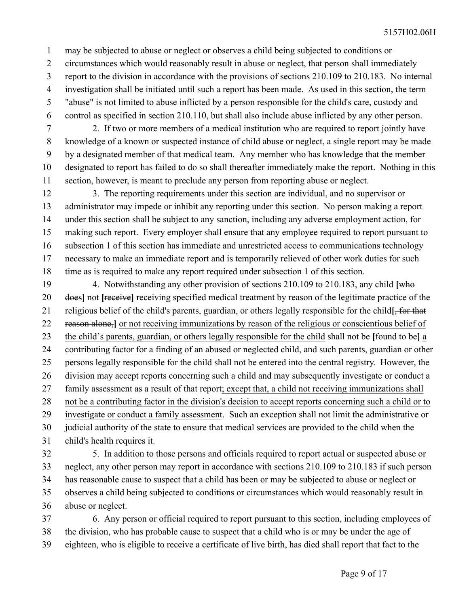may be subjected to abuse or neglect or observes a child being subjected to conditions or 1

- circumstances which would reasonably result in abuse or neglect, that person shall immediately 2
- report to the division in accordance with the provisions of sections 210.109 to 210.183. No internal 3
- investigation shall be initiated until such a report has been made. As used in this section, the term 4
- "abuse" is not limited to abuse inflicted by a person responsible for the child's care, custody and control as specified in section 210.110, but shall also include abuse inflicted by any other person. 5 6
- 2. If two or more members of a medical institution who are required to report jointly have knowledge of a known or suspected instance of child abuse or neglect, a single report may be made by a designated member of that medical team. Any member who has knowledge that the member designated to report has failed to do so shall thereafter immediately make the report. Nothing in this section, however, is meant to preclude any person from reporting abuse or neglect. 7 8 9 10 11
- 3. The reporting requirements under this section are individual, and no supervisor or administrator may impede or inhibit any reporting under this section. No person making a report under this section shall be subject to any sanction, including any adverse employment action, for making such report. Every employer shall ensure that any employee required to report pursuant to subsection 1 of this section has immediate and unrestricted access to communications technology necessary to make an immediate report and is temporarily relieved of other work duties for such time as is required to make any report required under subsection 1 of this section. 12 13 14 15 16 17 18
- 4. Notwithstanding any other provision of sections 210.109 to 210.183, any child **[**who does**]** not **[**receive**]** receiving specified medical treatment by reason of the legitimate practice of the religious belief of the child's parents, guardian, or others legally responsible for the child**[**, for that reason alone,**]** or not receiving immunizations by reason of the religious or conscientious belief of the child's parents, guardian, or others legally responsible for the child shall not be **[**found to be**]** a contributing factor for a finding of an abused or neglected child, and such parents, guardian or other persons legally responsible for the child shall not be entered into the central registry. However, the division may accept reports concerning such a child and may subsequently investigate or conduct a family assessment as a result of that report; except that, a child not receiving immunizations shall not be a contributing factor in the division's decision to accept reports concerning such a child or to investigate or conduct a family assessment. Such an exception shall not limit the administrative or judicial authority of the state to ensure that medical services are provided to the child when the child's health requires it. 19 20 21 22 23 24 25 26 27 28 29 30 31
- 5. In addition to those persons and officials required to report actual or suspected abuse or neglect, any other person may report in accordance with sections 210.109 to 210.183 if such person has reasonable cause to suspect that a child has been or may be subjected to abuse or neglect or observes a child being subjected to conditions or circumstances which would reasonably result in abuse or neglect. 32 33 34 35 36
- 6. Any person or official required to report pursuant to this section, including employees of the division, who has probable cause to suspect that a child who is or may be under the age of eighteen, who is eligible to receive a certificate of live birth, has died shall report that fact to the 37 38 39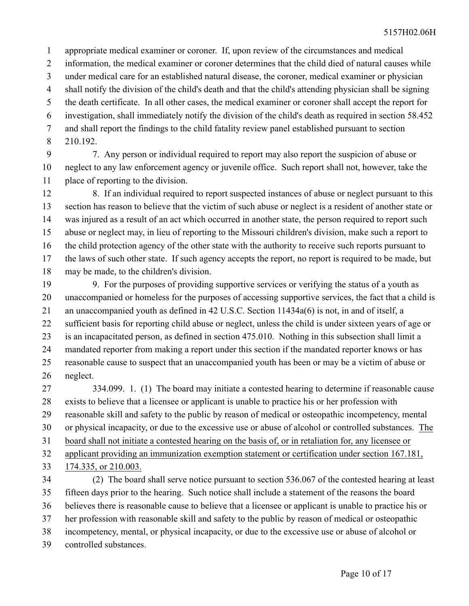appropriate medical examiner or coroner. If, upon review of the circumstances and medical information, the medical examiner or coroner determines that the child died of natural causes while under medical care for an established natural disease, the coroner, medical examiner or physician shall notify the division of the child's death and that the child's attending physician shall be signing the death certificate. In all other cases, the medical examiner or coroner shall accept the report for investigation, shall immediately notify the division of the child's death as required in section 58.452 and shall report the findings to the child fatality review panel established pursuant to section 210.192. 1 2 3 4 5 6 7 8

7. Any person or individual required to report may also report the suspicion of abuse or neglect to any law enforcement agency or juvenile office. Such report shall not, however, take the place of reporting to the division. 9 10 11

8. If an individual required to report suspected instances of abuse or neglect pursuant to this section has reason to believe that the victim of such abuse or neglect is a resident of another state or was injured as a result of an act which occurred in another state, the person required to report such abuse or neglect may, in lieu of reporting to the Missouri children's division, make such a report to the child protection agency of the other state with the authority to receive such reports pursuant to the laws of such other state. If such agency accepts the report, no report is required to be made, but may be made, to the children's division. 12 13 14 15 16 17 18

9. For the purposes of providing supportive services or verifying the status of a youth as unaccompanied or homeless for the purposes of accessing supportive services, the fact that a child is an unaccompanied youth as defined in 42 U.S.C. Section 11434a(6) is not, in and of itself, a sufficient basis for reporting child abuse or neglect, unless the child is under sixteen years of age or is an incapacitated person, as defined in section 475.010. Nothing in this subsection shall limit a mandated reporter from making a report under this section if the mandated reporter knows or has reasonable cause to suspect that an unaccompanied youth has been or may be a victim of abuse or neglect. 19 20 21 22 23 24 25 26

334.099. 1. (1) The board may initiate a contested hearing to determine if reasonable cause exists to believe that a licensee or applicant is unable to practice his or her profession with reasonable skill and safety to the public by reason of medical or osteopathic incompetency, mental or physical incapacity, or due to the excessive use or abuse of alcohol or controlled substances. The board shall not initiate a contested hearing on the basis of, or in retaliation for, any licensee or applicant providing an immunization exemption statement or certification under section 167.181, 27 28 29 30 31 32

174.335, or 210.003. 33

(2) The board shall serve notice pursuant to section 536.067 of the contested hearing at least fifteen days prior to the hearing. Such notice shall include a statement of the reasons the board believes there is reasonable cause to believe that a licensee or applicant is unable to practice his or her profession with reasonable skill and safety to the public by reason of medical or osteopathic incompetency, mental, or physical incapacity, or due to the excessive use or abuse of alcohol or controlled substances. 34 35 36 37 38 39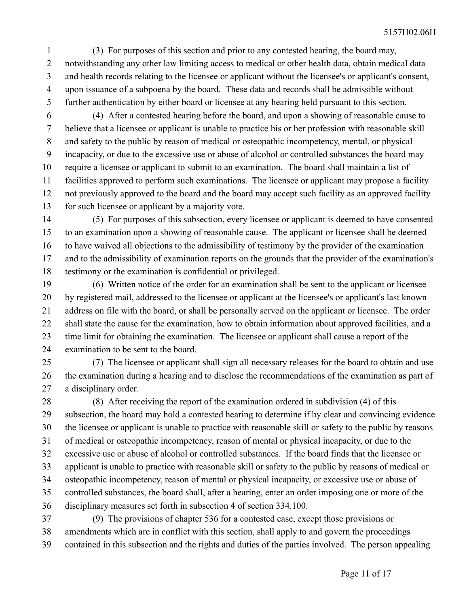(3) For purposes of this section and prior to any contested hearing, the board may, notwithstanding any other law limiting access to medical or other health data, obtain medical data and health records relating to the licensee or applicant without the licensee's or applicant's consent, upon issuance of a subpoena by the board. These data and records shall be admissible without further authentication by either board or licensee at any hearing held pursuant to this section. 1 2 3 4 5

(4) After a contested hearing before the board, and upon a showing of reasonable cause to believe that a licensee or applicant is unable to practice his or her profession with reasonable skill and safety to the public by reason of medical or osteopathic incompetency, mental, or physical incapacity, or due to the excessive use or abuse of alcohol or controlled substances the board may require a licensee or applicant to submit to an examination. The board shall maintain a list of facilities approved to perform such examinations. The licensee or applicant may propose a facility not previously approved to the board and the board may accept such facility as an approved facility for such licensee or applicant by a majority vote. 6 7 8 9 10 11 12 13

(5) For purposes of this subsection, every licensee or applicant is deemed to have consented to an examination upon a showing of reasonable cause. The applicant or licensee shall be deemed to have waived all objections to the admissibility of testimony by the provider of the examination and to the admissibility of examination reports on the grounds that the provider of the examination's testimony or the examination is confidential or privileged. 14 15 16 17 18

(6) Written notice of the order for an examination shall be sent to the applicant or licensee by registered mail, addressed to the licensee or applicant at the licensee's or applicant's last known address on file with the board, or shall be personally served on the applicant or licensee. The order shall state the cause for the examination, how to obtain information about approved facilities, and a time limit for obtaining the examination. The licensee or applicant shall cause a report of the examination to be sent to the board. 19 20 21 22 23 24

(7) The licensee or applicant shall sign all necessary releases for the board to obtain and use the examination during a hearing and to disclose the recommendations of the examination as part of a disciplinary order. 25 26 27

(8) After receiving the report of the examination ordered in subdivision (4) of this subsection, the board may hold a contested hearing to determine if by clear and convincing evidence the licensee or applicant is unable to practice with reasonable skill or safety to the public by reasons of medical or osteopathic incompetency, reason of mental or physical incapacity, or due to the excessive use or abuse of alcohol or controlled substances. If the board finds that the licensee or applicant is unable to practice with reasonable skill or safety to the public by reasons of medical or osteopathic incompetency, reason of mental or physical incapacity, or excessive use or abuse of controlled substances, the board shall, after a hearing, enter an order imposing one or more of the disciplinary measures set forth in subsection 4 of section 334.100. 28 29 30 31 32 33 34 35 36

(9) The provisions of chapter 536 for a contested case, except those provisions or amendments which are in conflict with this section, shall apply to and govern the proceedings contained in this subsection and the rights and duties of the parties involved. The person appealing 37 38 39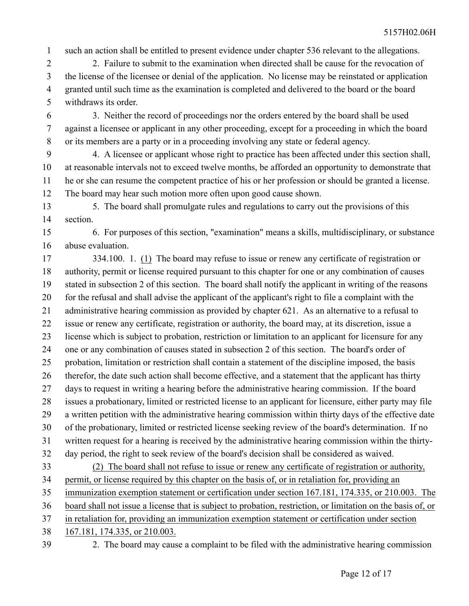such an action shall be entitled to present evidence under chapter 536 relevant to the allegations. 1

2. Failure to submit to the examination when directed shall be cause for the revocation of the license of the licensee or denial of the application. No license may be reinstated or application granted until such time as the examination is completed and delivered to the board or the board withdraws its order. 2 3 4 5

3. Neither the record of proceedings nor the orders entered by the board shall be used against a licensee or applicant in any other proceeding, except for a proceeding in which the board or its members are a party or in a proceeding involving any state or federal agency. 6 7 8

4. A licensee or applicant whose right to practice has been affected under this section shall, at reasonable intervals not to exceed twelve months, be afforded an opportunity to demonstrate that he or she can resume the competent practice of his or her profession or should be granted a license. The board may hear such motion more often upon good cause shown. 9 10 11 12

5. The board shall promulgate rules and regulations to carry out the provisions of this section. 13 14

6. For purposes of this section, "examination" means a skills, multidisciplinary, or substance abuse evaluation. 15 16

334.100. 1. (1) The board may refuse to issue or renew any certificate of registration or authority, permit or license required pursuant to this chapter for one or any combination of causes stated in subsection 2 of this section. The board shall notify the applicant in writing of the reasons for the refusal and shall advise the applicant of the applicant's right to file a complaint with the administrative hearing commission as provided by chapter 621. As an alternative to a refusal to issue or renew any certificate, registration or authority, the board may, at its discretion, issue a license which is subject to probation, restriction or limitation to an applicant for licensure for any one or any combination of causes stated in subsection 2 of this section. The board's order of probation, limitation or restriction shall contain a statement of the discipline imposed, the basis therefor, the date such action shall become effective, and a statement that the applicant has thirty days to request in writing a hearing before the administrative hearing commission. If the board issues a probationary, limited or restricted license to an applicant for licensure, either party may file a written petition with the administrative hearing commission within thirty days of the effective date of the probationary, limited or restricted license seeking review of the board's determination. If no written request for a hearing is received by the administrative hearing commission within the thirtyday period, the right to seek review of the board's decision shall be considered as waived. (2) The board shall not refuse to issue or renew any certificate of registration or authority, permit, or license required by this chapter on the basis of, or in retaliation for, providing an immunization exemption statement or certification under section 167.181, 174.335, or 210.003. The board shall not issue a license that is subject to probation, restriction, or limitation on the basis of, or in retaliation for, providing an immunization exemption statement or certification under section 167.181, 174.335, or 210.003. 17 18 19 20 21 22 23 24 25 26 27 28 29 30 31 32 33 34 35 36 37 38

39

2. The board may cause a complaint to be filed with the administrative hearing commission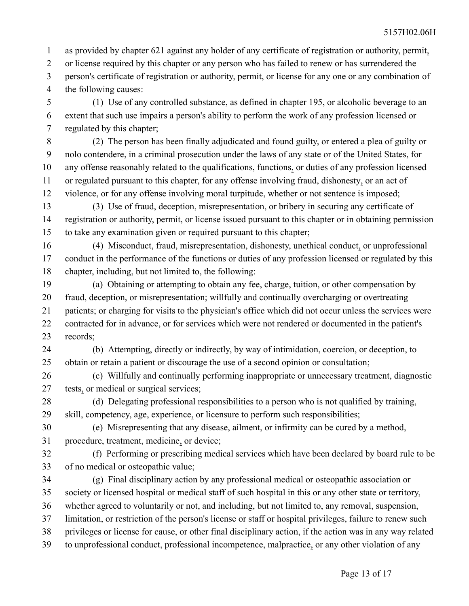as provided by chapter 621 against any holder of any certificate of registration or authority, permit, or license required by this chapter or any person who has failed to renew or has surrendered the person's certificate of registration or authority, permit, or license for any one or any combination of the following causes: 1 2 3 4

(1) Use of any controlled substance, as defined in chapter 195, or alcoholic beverage to an extent that such use impairs a person's ability to perform the work of any profession licensed or regulated by this chapter; 5 6 7

(2) The person has been finally adjudicated and found guilty, or entered a plea of guilty or nolo contendere, in a criminal prosecution under the laws of any state or of the United States, for any offense reasonably related to the qualifications, functions, or duties of any profession licensed or regulated pursuant to this chapter, for any offense involving fraud, dishonesty, or an act of violence, or for any offense involving moral turpitude, whether or not sentence is imposed; 8 9 10 11 12

(3) Use of fraud, deception, misrepresentation, or bribery in securing any certificate of registration or authority, permit, or license issued pursuant to this chapter or in obtaining permission to take any examination given or required pursuant to this chapter; 13 14 15

(4) Misconduct, fraud, misrepresentation, dishonesty, unethical conduct, or unprofessional conduct in the performance of the functions or duties of any profession licensed or regulated by this chapter, including, but not limited to, the following: 16 17 18

(a) Obtaining or attempting to obtain any fee, charge, tuition, or other compensation by fraud, deception, or misrepresentation; willfully and continually overcharging or overtreating patients; or charging for visits to the physician's office which did not occur unless the services were contracted for in advance, or for services which were not rendered or documented in the patient's records; 19 20 21 22 23

(b) Attempting, directly or indirectly, by way of intimidation, coercion, or deception, to obtain or retain a patient or discourage the use of a second opinion or consultation; 24 25

(c) Willfully and continually performing inappropriate or unnecessary treatment, diagnostic tests, or medical or surgical services; 26 27

(d) Delegating professional responsibilities to a person who is not qualified by training,

skill, competency, age, experience, or licensure to perform such responsibilities; 29

(e) Misrepresenting that any disease, ailment, or infirmity can be cured by a method, 30

procedure, treatment, medicine, or device; 31

28

(f) Performing or prescribing medical services which have been declared by board rule to be of no medical or osteopathic value; 32 33

(g) Final disciplinary action by any professional medical or osteopathic association or society or licensed hospital or medical staff of such hospital in this or any other state or territory, whether agreed to voluntarily or not, and including, but not limited to, any removal, suspension, limitation, or restriction of the person's license or staff or hospital privileges, failure to renew such privileges or license for cause, or other final disciplinary action, if the action was in any way related to unprofessional conduct, professional incompetence, malpractice, or any other violation of any 34 35 36 37 38 39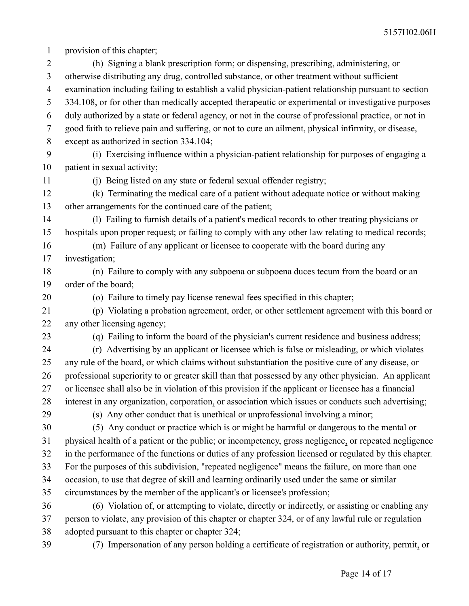provision of this chapter; 1

(h) Signing a blank prescription form; or dispensing, prescribing, administering, or otherwise distributing any drug, controlled substance, or other treatment without sufficient examination including failing to establish a valid physician-patient relationship pursuant to section 334.108, or for other than medically accepted therapeutic or experimental or investigative purposes duly authorized by a state or federal agency, or not in the course of professional practice, or not in good faith to relieve pain and suffering, or not to cure an ailment, physical infirmity, or disease, except as authorized in section 334.104; (i) Exercising influence within a physician-patient relationship for purposes of engaging a patient in sexual activity; (j) Being listed on any state or federal sexual offender registry; (k) Terminating the medical care of a patient without adequate notice or without making other arrangements for the continued care of the patient; (l) Failing to furnish details of a patient's medical records to other treating physicians or hospitals upon proper request; or failing to comply with any other law relating to medical records; (m) Failure of any applicant or licensee to cooperate with the board during any investigation; (n) Failure to comply with any subpoena or subpoena duces tecum from the board or an order of the board; (o) Failure to timely pay license renewal fees specified in this chapter; (p) Violating a probation agreement, order, or other settlement agreement with this board or any other licensing agency; (q) Failing to inform the board of the physician's current residence and business address; (r) Advertising by an applicant or licensee which is false or misleading, or which violates any rule of the board, or which claims without substantiation the positive cure of any disease, or professional superiority to or greater skill than that possessed by any other physician. An applicant or licensee shall also be in violation of this provision if the applicant or licensee has a financial interest in any organization, corporation, or association which issues or conducts such advertising; (s) Any other conduct that is unethical or unprofessional involving a minor; (5) Any conduct or practice which is or might be harmful or dangerous to the mental or physical health of a patient or the public; or incompetency, gross negligence, or repeated negligence in the performance of the functions or duties of any profession licensed or regulated by this chapter. For the purposes of this subdivision, "repeated negligence" means the failure, on more than one occasion, to use that degree of skill and learning ordinarily used under the same or similar circumstances by the member of the applicant's or licensee's profession; (6) Violation of, or attempting to violate, directly or indirectly, or assisting or enabling any person to violate, any provision of this chapter or chapter 324, or of any lawful rule or regulation adopted pursuant to this chapter or chapter 324; (7) Impersonation of any person holding a certificate of registration or authority, permit, or 2 3 4 5 6 7 8 9 10 11 12 13 14 15 16 17 18 19 20 21 22 23 24 25 26 27 28 29 30 31 32 33 34 35 36 37 38 39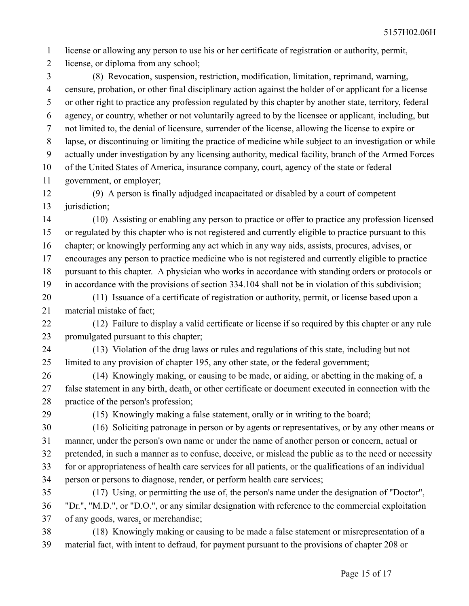license or allowing any person to use his or her certificate of registration or authority, permit, 1

license, or diploma from any school; 2

(8) Revocation, suspension, restriction, modification, limitation, reprimand, warning, censure, probation, or other final disciplinary action against the holder of or applicant for a license or other right to practice any profession regulated by this chapter by another state, territory, federal agency, or country, whether or not voluntarily agreed to by the licensee or applicant, including, but not limited to, the denial of licensure, surrender of the license, allowing the license to expire or lapse, or discontinuing or limiting the practice of medicine while subject to an investigation or while actually under investigation by any licensing authority, medical facility, branch of the Armed Forces of the United States of America, insurance company, court, agency of the state or federal government, or employer; 3 4 5 6 7 8 9 10 11

(9) A person is finally adjudged incapacitated or disabled by a court of competent jurisdiction; 12 13

(10) Assisting or enabling any person to practice or offer to practice any profession licensed or regulated by this chapter who is not registered and currently eligible to practice pursuant to this chapter; or knowingly performing any act which in any way aids, assists, procures, advises, or encourages any person to practice medicine who is not registered and currently eligible to practice pursuant to this chapter. A physician who works in accordance with standing orders or protocols or in accordance with the provisions of section 334.104 shall not be in violation of this subdivision; 14 15 16 17 18 19

(11) Issuance of a certificate of registration or authority, permit, or license based upon a material mistake of fact; 20 21

(12) Failure to display a valid certificate or license if so required by this chapter or any rule promulgated pursuant to this chapter; 22 23

(13) Violation of the drug laws or rules and regulations of this state, including but not limited to any provision of chapter 195, any other state, or the federal government; 24 25

(14) Knowingly making, or causing to be made, or aiding, or abetting in the making of, a false statement in any birth, death, or other certificate or document executed in connection with the practice of the person's profession; 26 27 28

29

(15) Knowingly making a false statement, orally or in writing to the board;

(16) Soliciting patronage in person or by agents or representatives, or by any other means or manner, under the person's own name or under the name of another person or concern, actual or pretended, in such a manner as to confuse, deceive, or mislead the public as to the need or necessity for or appropriateness of health care services for all patients, or the qualifications of an individual person or persons to diagnose, render, or perform health care services; 30 31 32 33 34

(17) Using, or permitting the use of, the person's name under the designation of "Doctor", "Dr.", "M.D.", or "D.O.", or any similar designation with reference to the commercial exploitation of any goods, wares, or merchandise; 35 36 37

(18) Knowingly making or causing to be made a false statement or misrepresentation of a material fact, with intent to defraud, for payment pursuant to the provisions of chapter 208 or 38 39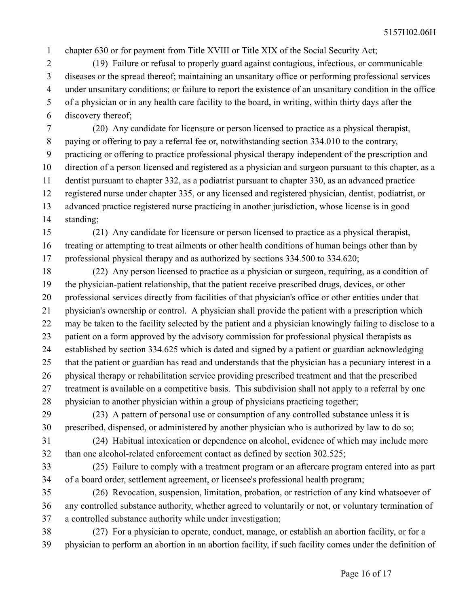chapter 630 or for payment from Title XVIII or Title XIX of the Social Security Act; 1

(19) Failure or refusal to properly guard against contagious, infectious, or communicable diseases or the spread thereof; maintaining an unsanitary office or performing professional services under unsanitary conditions; or failure to report the existence of an unsanitary condition in the office of a physician or in any health care facility to the board, in writing, within thirty days after the discovery thereof; 2 3 4 5 6

(20) Any candidate for licensure or person licensed to practice as a physical therapist, paying or offering to pay a referral fee or, notwithstanding section 334.010 to the contrary, practicing or offering to practice professional physical therapy independent of the prescription and direction of a person licensed and registered as a physician and surgeon pursuant to this chapter, as a dentist pursuant to chapter 332, as a podiatrist pursuant to chapter 330, as an advanced practice registered nurse under chapter 335, or any licensed and registered physician, dentist, podiatrist, or advanced practice registered nurse practicing in another jurisdiction, whose license is in good standing; 7 8 9 10 11 12 13 14

(21) Any candidate for licensure or person licensed to practice as a physical therapist, treating or attempting to treat ailments or other health conditions of human beings other than by professional physical therapy and as authorized by sections 334.500 to 334.620; 15 16 17

(22) Any person licensed to practice as a physician or surgeon, requiring, as a condition of the physician-patient relationship, that the patient receive prescribed drugs, devices, or other professional services directly from facilities of that physician's office or other entities under that physician's ownership or control. A physician shall provide the patient with a prescription which may be taken to the facility selected by the patient and a physician knowingly failing to disclose to a patient on a form approved by the advisory commission for professional physical therapists as established by section 334.625 which is dated and signed by a patient or guardian acknowledging that the patient or guardian has read and understands that the physician has a pecuniary interest in a physical therapy or rehabilitation service providing prescribed treatment and that the prescribed treatment is available on a competitive basis. This subdivision shall not apply to a referral by one physician to another physician within a group of physicians practicing together; 18 19 20 21 22 23 24 25 26 27 28

(23) A pattern of personal use or consumption of any controlled substance unless it is prescribed, dispensed, or administered by another physician who is authorized by law to do so; 29 30

(24) Habitual intoxication or dependence on alcohol, evidence of which may include more than one alcohol-related enforcement contact as defined by section 302.525; 31 32

(25) Failure to comply with a treatment program or an aftercare program entered into as part of a board order, settlement agreement, or licensee's professional health program; 33 34

(26) Revocation, suspension, limitation, probation, or restriction of any kind whatsoever of any controlled substance authority, whether agreed to voluntarily or not, or voluntary termination of a controlled substance authority while under investigation; 35 36 37

(27) For a physician to operate, conduct, manage, or establish an abortion facility, or for a physician to perform an abortion in an abortion facility, if such facility comes under the definition of 38 39